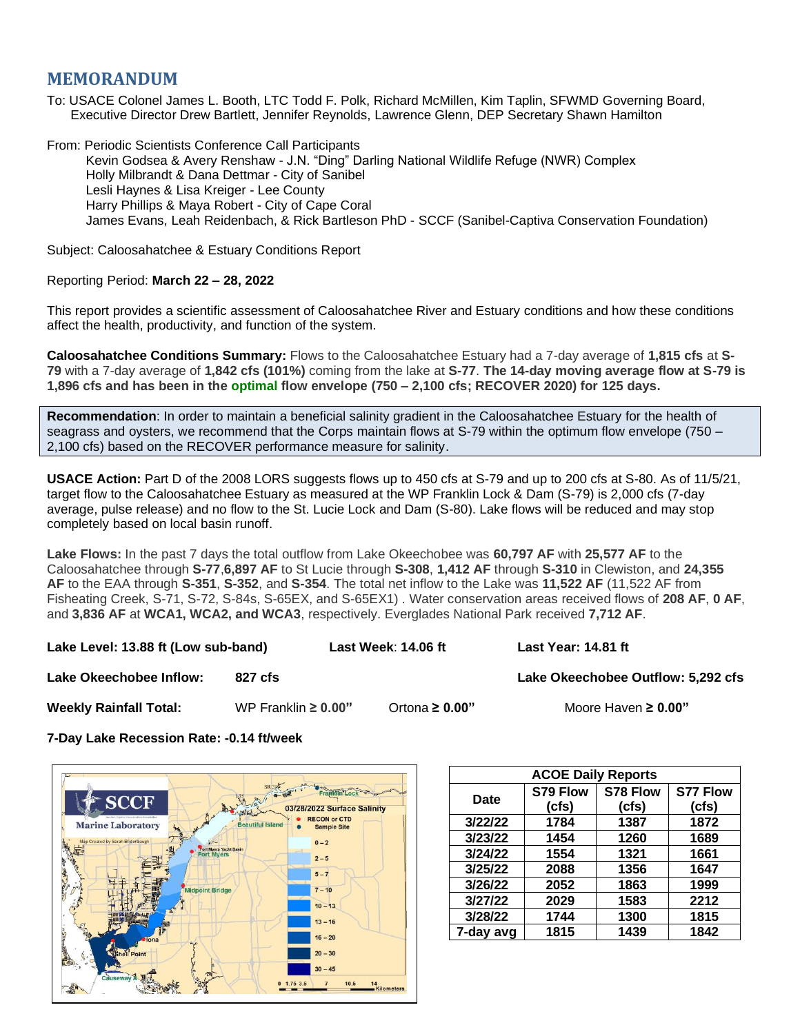# **MEMORANDUM**

To: USACE Colonel James L. Booth, LTC Todd F. Polk, Richard McMillen, Kim Taplin, SFWMD Governing Board, Executive Director Drew Bartlett, Jennifer Reynolds, Lawrence Glenn, DEP Secretary Shawn Hamilton

From: Periodic Scientists Conference Call Participants Kevin Godsea & Avery Renshaw - J.N. "Ding" Darling National Wildlife Refuge (NWR) Complex Holly Milbrandt & Dana Dettmar - City of Sanibel Lesli Haynes & Lisa Kreiger - Lee County Harry Phillips & Maya Robert - City of Cape Coral James Evans, Leah Reidenbach, & Rick Bartleson PhD - SCCF (Sanibel-Captiva Conservation Foundation)

Subject: Caloosahatchee & Estuary Conditions Report

## Reporting Period: **March 22 – 28, 2022**

This report provides a scientific assessment of Caloosahatchee River and Estuary conditions and how these conditions affect the health, productivity, and function of the system.

**Caloosahatchee Conditions Summary:** Flows to the Caloosahatchee Estuary had a 7-day average of **1,815 cfs** at **S-79** with a 7-day average of **1,842 cfs (101%)** coming from the lake at **S-77**. **The 14-day moving average flow at S-79 is 1,896 cfs and has been in the optimal flow envelope (750 – 2,100 cfs; RECOVER 2020) for 125 days.**

**Recommendation**: In order to maintain a beneficial salinity gradient in the Caloosahatchee Estuary for the health of seagrass and oysters, we recommend that the Corps maintain flows at S-79 within the optimum flow envelope (750 – 2,100 cfs) based on the RECOVER performance measure for salinity.

**USACE Action:** Part D of the 2008 LORS suggests flows up to 450 cfs at S-79 and up to 200 cfs at S-80. As of 11/5/21, target flow to the Caloosahatchee Estuary as measured at the WP Franklin Lock & Dam (S-79) is 2,000 cfs (7-day average, pulse release) and no flow to the St. Lucie Lock and Dam (S-80). Lake flows will be reduced and may stop completely based on local basin runoff.

**Lake Flows:** In the past 7 days the total outflow from Lake Okeechobee was **60,797 AF** with **25,577 AF** to the Caloosahatchee through **S-77**,**6,897 AF** to St Lucie through **S-308**, **1,412 AF** through **S-310** in Clewiston, and **24,355 AF** to the EAA through **S-351**, **S-352**, and **S-354**. The total net inflow to the Lake was **11,522 AF** (11,522 AF from Fisheating Creek, S-71, S-72, S-84s, S-65EX, and S-65EX1) . Water conservation areas received flows of **208 AF**, **0 AF**, and **3,836 AF** at **WCA1, WCA2, and WCA3**, respectively. Everglades National Park received **7,712 AF**.

**Lake Level: 13.88 ft (Low sub-band) Last Week**: **14.06 ft Last Year: 14.81 ft**

**Lake Okeechobee Inflow: 327 cfs Lake Okeechobee Outflow: 5,292 cfs Lake Okeechobee Outflow: 5,292 cfs** 

**Weekly Rainfall Total:** WP Franklin **≥ 0.00"** Ortona **≥ 0.00"** Moore Haven **≥ 0.00"**

**7-Day Lake Recession Rate: -0.14 ft/week**



| <b>ACOE Daily Reports</b> |          |          |                 |  |  |  |  |
|---------------------------|----------|----------|-----------------|--|--|--|--|
| <b>Date</b>               | S79 Flow | S78 Flow | <b>S77 Flow</b> |  |  |  |  |
|                           | (cfs)    | (cfs)    | (cfs)           |  |  |  |  |
| 3/22/22                   | 1784     | 1387     | 1872            |  |  |  |  |
| 3/23/22                   | 1454     | 1260     | 1689            |  |  |  |  |
| 3/24/22                   | 1554     | 1321     | 1661            |  |  |  |  |
| 3/25/22                   | 2088     | 1356     | 1647            |  |  |  |  |
| 3/26/22                   | 2052     | 1863     | 1999            |  |  |  |  |
| 3/27/22                   | 2029     | 1583     | 2212            |  |  |  |  |
| 3/28/22                   | 1744     | 1300     | 1815            |  |  |  |  |
| 7-day avg                 | 1815     | 1439     | 1842            |  |  |  |  |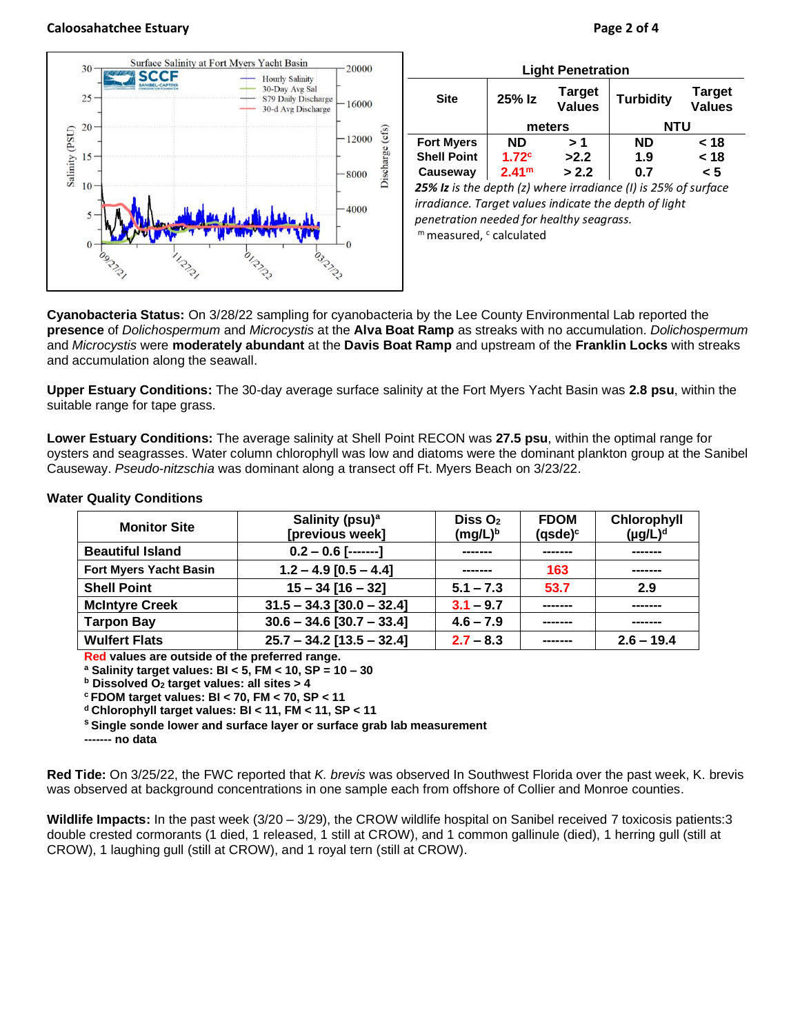### **Caloosahatchee Estuary Page 2 of 4**



| <b>Light Penetration</b>                                       |                   |                         |                  |                                |  |  |  |
|----------------------------------------------------------------|-------------------|-------------------------|------------------|--------------------------------|--|--|--|
| <b>Site</b>                                                    | 25% Iz            | Target<br><b>Values</b> | <b>Turbidity</b> | <b>Target</b><br><b>Values</b> |  |  |  |
|                                                                | meters            |                         | NTU              |                                |  |  |  |
| <b>Fort Myers</b>                                              | <b>ND</b>         | > 1                     | <b>ND</b>        | < 18                           |  |  |  |
| <b>Shell Point</b>                                             | 1.72 <sup>c</sup> | >2.2                    | 1.9              | < 18                           |  |  |  |
| Causeway                                                       | 2.41 <sup>m</sup> | > 2.2                   | 0.7              | < 5                            |  |  |  |
| 25% Iz is the denth (z) where irradiance (I) is 25% of surface |                   |                         |                  |                                |  |  |  |

*25% Iz is the depth (z) where irradiance (I) is 25% of surface irradiance. Target values indicate the depth of light penetration needed for healthy seagrass.* m measured, c calculated

**Cyanobacteria Status:** On 3/28/22 sampling for cyanobacteria by the Lee County Environmental Lab reported the **presence** of *Dolichospermum* and *Microcystis* at the **Alva Boat Ramp** as streaks with no accumulation. *Dolichospermum* and *Microcystis* were **moderately abundant** at the **Davis Boat Ramp** and upstream of the **Franklin Locks** with streaks and accumulation along the seawall.

**Upper Estuary Conditions:** The 30-day average surface salinity at the Fort Myers Yacht Basin was **2.8 psu**, within the suitable range for tape grass.

**Lower Estuary Conditions:** The average salinity at Shell Point RECON was **27.5 psu**, within the optimal range for oysters and seagrasses. Water column chlorophyll was low and diatoms were the dominant plankton group at the Sanibel Causeway. *Pseudo*-*nitzschia* was dominant along a transect off Ft. Myers Beach on 3/23/22.

| <b>Monitor Site</b>           | Salinity (psu) <sup>a</sup> | DisS O <sub>2</sub> | <b>FDOM</b> | Chlorophyll   |
|-------------------------------|-----------------------------|---------------------|-------------|---------------|
|                               | [previous week]             | $(mg/L)^b$          | $(gsde)^c$  | $(\mu g/L)^d$ |
| <b>Beautiful Island</b>       | $0.2 - 0.6$ [-------]       | --------            |             | -------       |
| <b>Fort Myers Yacht Basin</b> | $1.2 - 4.9$ [0.5 - 4.4]     | -------             | 163         | -------       |
| <b>Shell Point</b>            | $15 - 34$ [16 - 32]         | $5.1 - 7.3$         | 53.7        | 2.9           |
| <b>McIntyre Creek</b>         | $31.5 - 34.3$ [30.0 - 32.4] | $3.1 - 9.7$         | -------     |               |
| <b>Tarpon Bay</b>             | $30.6 - 34.6$ [30.7 - 33.4] | $4.6 - 7.9$         |             |               |
| <b>Wulfert Flats</b>          | $25.7 - 34.2$ [13.5 - 32.4] | $2.7 - 8.3$         |             | $2.6 - 19.4$  |

#### **Water Quality Conditions**

**Red values are outside of the preferred range.**

**<sup>a</sup> Salinity target values: BI < 5, FM < 10, SP = 10 – 30**

**<sup>b</sup> Dissolved O<sup>2</sup> target values: all sites > 4**

**<sup>c</sup> FDOM target values: BI < 70, FM < 70, SP < 11**

**<sup>d</sup> Chlorophyll target values: BI < 11, FM < 11, SP < 11** 

**<sup>s</sup> Single sonde lower and surface layer or surface grab lab measurement**

**------- no data**

**Red Tide:** On 3/25/22, the FWC reported that *K. brevis* was observed In Southwest Florida over the past week, K. brevis was observed at background concentrations in one sample each from offshore of Collier and Monroe counties.

**Wildlife Impacts:** In the past week (3/20 – 3/29), the CROW wildlife hospital on Sanibel received 7 toxicosis patients:3 double crested cormorants (1 died, 1 released, 1 still at CROW), and 1 common gallinule (died), 1 herring gull (still at CROW), 1 laughing gull (still at CROW), and 1 royal tern (still at CROW).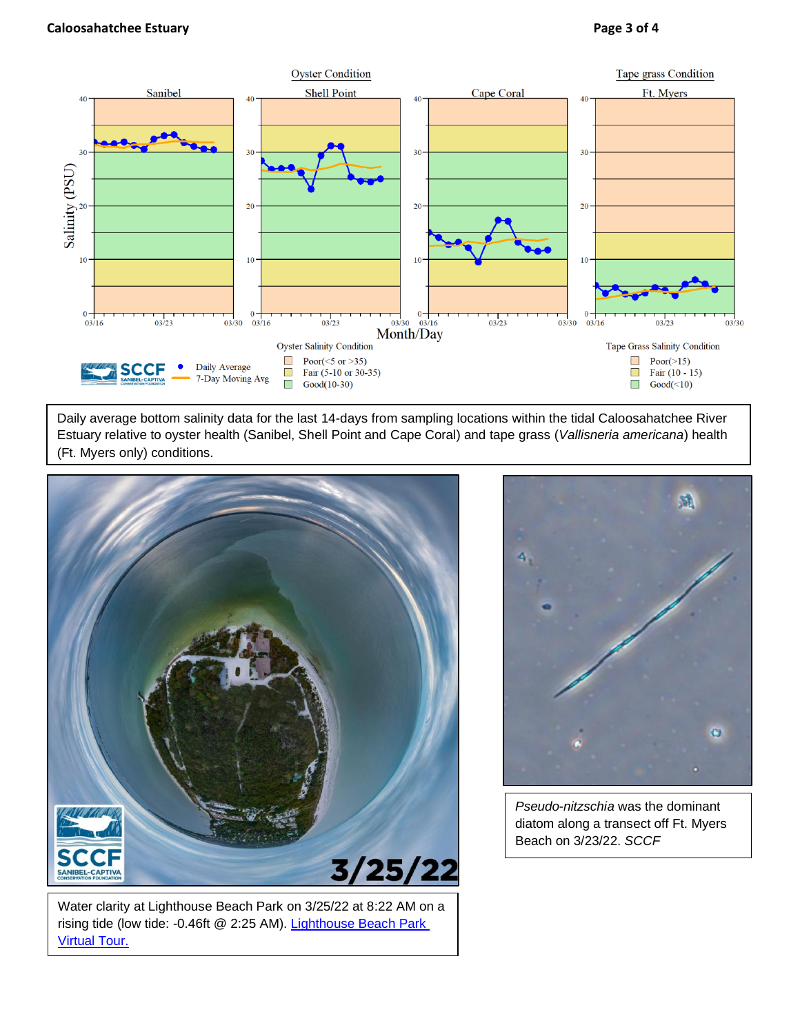

Daily average bottom salinity data for the last 14-days from sampling locations within the tidal Caloosahatchee River Estuary relative to oyster health (Sanibel, Shell Point and Cape Coral) and tape grass (*Vallisneria americana*) health (Ft. Myers only) conditions.



Water clarity at Lighthouse Beach Park on 3/25/22 at 8:22 AM on a rising tide (low tide: -0.46ft @ 2:25 AM). [Lighthouse Beach Park](https://aerialwq.sccf.org/lighthouse/virtualtour/)  [Virtual Tour.](https://aerialwq.sccf.org/lighthouse/virtualtour/)



*Pseudo*-*nitzschia* was the dominant diatom along a transect off Ft. Myers Beach on 3/23/22. *SCCF*